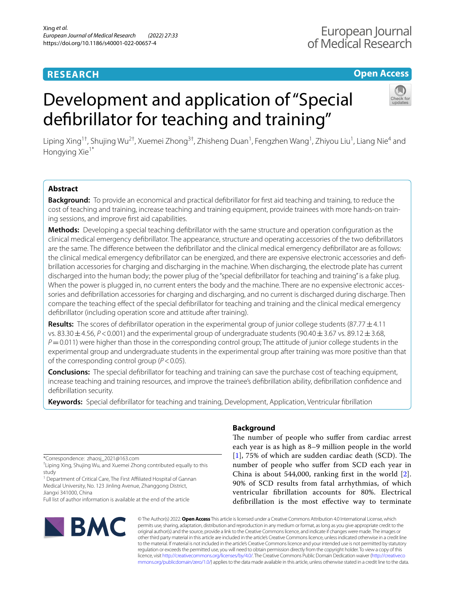# **RESEARCH**

# **Open Access**

# Development and application of "Special defbrillator for teaching and training"



Liping Xing<sup>1†</sup>, Shujing Wu<sup>2†</sup>, Xuemei Zhong<sup>3†</sup>, Zhisheng Duan<sup>1</sup>, Fengzhen Wang<sup>1</sup>, Zhiyou Liu<sup>1</sup>, Liang Nie<sup>4</sup> and Hongying Xie<sup>1\*</sup>

# **Abstract**

**Background:** To provide an economical and practical defbrillator for frst aid teaching and training, to reduce the cost of teaching and training, increase teaching and training equipment, provide trainees with more hands-on training sessions, and improve frst aid capabilities.

**Methods:** Developing a special teaching defbrillator with the same structure and operation confguration as the clinical medical emergency defbrillator. The appearance, structure and operating accessories of the two defbrillators are the same. The diference between the defbrillator and the clinical medical emergency defbrillator are as follows: the clinical medical emergency defbrillator can be energized, and there are expensive electronic accessories and defbrillation accessories for charging and discharging in the machine. When discharging, the electrode plate has current discharged into the human body; the power plug of the "special defbrillator for teaching and training" is a fake plug. When the power is plugged in, no current enters the body and the machine. There are no expensive electronic accessories and defbrillation accessories for charging and discharging, and no current is discharged during discharge. Then compare the teaching efect of the special defbrillator for teaching and training and the clinical medical emergency defbrillator (including operation score and attitude after training).

**Results:** The scores of defbrillator operation in the experimental group of junior college students (87.77±4.11 vs. 83.30  $\pm$  4.56, *P* < 0.001) and the experimental group of undergraduate students (90.40  $\pm$  3.67 vs. 89.12  $\pm$  3.68, *P*=0.011) were higher than those in the corresponding control group; The attitude of junior college students in the experimental group and undergraduate students in the experimental group after training was more positive than that of the corresponding control group (*P*<0.05).

**Conclusions:** The special defbrillator for teaching and training can save the purchase cost of teaching equipment, increase teaching and training resources, and improve the trainee's defbrillation ability, defbrillation confdence and defbrillation security.

**Keywords:** Special defbrillator for teaching and training, Development, Application, Ventricular fbrillation

\*Correspondence: zhaosj\_2021@163.com

† Liping Xing, Shujing Wu, and Xuemei Zhong contributed equally to this study

<sup>1</sup> Department of Critical Care, The First Affiliated Hospital of Gannan Medical University, No. 123 Jinling Avenue, Zhanggong District, Jiangxi 341000, China

Full list of author information is available at the end of the article



# **Background**

The number of people who suffer from cardiac arrest each year is as high as 8–9 million people in the world  $[1]$  $[1]$  $[1]$ , 75% of which are sudden cardiac death (SCD). The number of people who sufer from SCD each year in China is about 544,000, ranking frst in the world [[2](#page-5-1)]. 90% of SCD results from fatal arrhythmias, of which ventricular fbrillation accounts for 80%. Electrical defbrillation is the most efective way to terminate

© The Author(s) 2022. **Open Access** This article is licensed under a Creative Commons Attribution 4.0 International License, which permits use, sharing, adaptation, distribution and reproduction in any medium or format, as long as you give appropriate credit to the original author(s) and the source, provide a link to the Creative Commons licence, and indicate if changes were made. The images or other third party material in this article are included in the article's Creative Commons licence, unless indicated otherwise in a credit line to the material. If material is not included in the article's Creative Commons licence and your intended use is not permitted by statutory regulation or exceeds the permitted use, you will need to obtain permission directly from the copyright holder. To view a copy of this licence, visit [http://creativecommons.org/licenses/by/4.0/.](http://creativecommons.org/licenses/by/4.0/) The Creative Commons Public Domain Dedication waiver ([http://creativeco](http://creativecommons.org/publicdomain/zero/1.0/) [mmons.org/publicdomain/zero/1.0/](http://creativecommons.org/publicdomain/zero/1.0/)) applies to the data made available in this article, unless otherwise stated in a credit line to the data.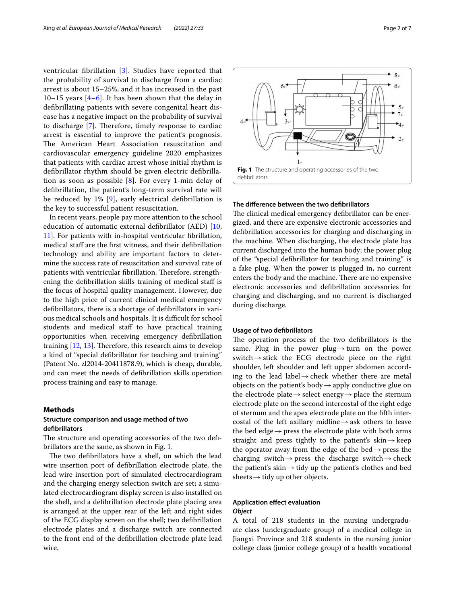ventricular fbrillation [\[3](#page-5-2)]. Studies have reported that the probability of survival to discharge from a cardiac arrest is about 15–25%, and it has increased in the past 10–15 years [\[4](#page-5-3)–[6\]](#page-5-4). It has been shown that the delay in defbrillating patients with severe congenital heart disease has a negative impact on the probability of survival to discharge  $[7]$  $[7]$ . Therefore, timely response to cardiac arrest is essential to improve the patient's prognosis. The American Heart Association resuscitation and cardiovascular emergency guideline 2020 emphasizes that patients with cardiac arrest whose initial rhythm is defbrillator rhythm should be given electric defbrillation as soon as possible [[8](#page-5-6)]. For every 1-min delay of defbrillation, the patient's long-term survival rate will be reduced by 1% [[9\]](#page-5-7), early electrical defbrillation is the key to successful patient resuscitation.

In recent years, people pay more attention to the school education of automatic external defbrillator (AED) [\[10](#page-5-8), [11\]](#page-5-9). For patients with in-hospital ventricular fbrillation, medical staff are the first witness, and their defibrillation technology and ability are important factors to determine the success rate of resuscitation and survival rate of patients with ventricular fibrillation. Therefore, strengthening the defbrillation skills training of medical staf is the focus of hospital quality management. However, due to the high price of current clinical medical emergency defbrillators, there is a shortage of defbrillators in various medical schools and hospitals. It is difficult for school students and medical staff to have practical training opportunities when receiving emergency defbrillation training  $[12, 13]$  $[12, 13]$  $[12, 13]$  $[12, 13]$ . Therefore, this research aims to develop a kind of "special defbrillator for teaching and training" (Patent No. zl2014-20411878.9), which is cheap, durable, and can meet the needs of defbrillation skills operation process training and easy to manage.

#### **Methods**

# **Structure comparison and usage method of two defbrillators**

The structure and operating accessories of the two defibrillators are the same, as shown in Fig. [1.](#page-1-0)

The two defibrillators have a shell, on which the lead wire insertion port of defbrillation electrode plate, the lead wire insertion port of simulated electrocardiogram and the charging energy selection switch are set; a simulated electrocardiogram display screen is also installed on the shell, and a defbrillation electrode plate placing area is arranged at the upper rear of the left and right sides of the ECG display screen on the shell; two defbrillation electrode plates and a discharge switch are connected to the front end of the defbrillation electrode plate lead wire.



# <span id="page-1-0"></span>**The diference between the two defbrillators**

The clinical medical emergency defibrillator can be energized, and there are expensive electronic accessories and defbrillation accessories for charging and discharging in the machine. When discharging, the electrode plate has current discharged into the human body; the power plug of the "special defbrillator for teaching and training" is a fake plug. When the power is plugged in, no current enters the body and the machine. There are no expensive electronic accessories and defbrillation accessories for charging and discharging, and no current is discharged during discharge.

#### **Usage of two defbrillators**

The operation process of the two defibrillators is the same. Plug in the power plug $\rightarrow$ turn on the power switch  $\rightarrow$  stick the ECG electrode piece on the right shoulder, left shoulder and left upper abdomen according to the lead label $\rightarrow$ check whether there are metal objects on the patient's body  $\rightarrow$  apply conductive glue on the electrode plate  $\rightarrow$  select energy  $\rightarrow$  place the sternum electrode plate on the second intercostal of the right edge of sternum and the apex electrode plate on the ffth intercostal of the left axillary midline  $\rightarrow$  ask others to leave the bed edge $\rightarrow$  press the electrode plate with both arms straight and press tightly to the patient's skin $\rightarrow$ keep the operator away from the edge of the bed $\rightarrow$  press the charging switch  $\rightarrow$  press the discharge switch  $\rightarrow$  check the patient's skin  $\rightarrow$  tidy up the patient's clothes and bed sheets $\rightarrow$ tidy up other objects.

# **Application efect evaluation**

# *Object*

A total of 218 students in the nursing undergraduate class (undergraduate group) of a medical college in Jiangxi Province and 218 students in the nursing junior college class (junior college group) of a health vocational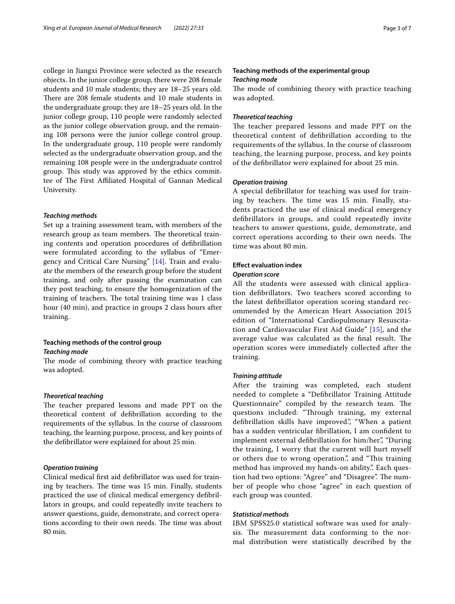college in Jiangxi Province were selected as the research objects. In the junior college group, there were 208 female students and 10 male students; they are 18–25 years old. There are 208 female students and 10 male students in the undergraduate group; they are 18–25 years old. In the junior college group, 110 people were randomly selected as the junior college observation group, and the remaining 108 persons were the junior college control group. In the undergraduate group, 110 people were randomly selected as the undergraduate observation group, and the remaining 108 people were in the undergraduate control group. This study was approved by the ethics committee of The First Affiliated Hospital of Gannan Medical University.

## *Teaching methods*

Set up a training assessment team, with members of the research group as team members. The theoretical training contents and operation procedures of defbrillation were formulated according to the syllabus of "Emergency and Critical Care Nursing" [[14](#page-5-12)]. Train and evaluate the members of the research group before the student training, and only after passing the examination can they post teaching, to ensure the homogenization of the training of teachers. The total training time was 1 class hour (40 min), and practice in groups 2 class hours after training.

## **Teaching methods of the control group** *Teaching mode*

The mode of combining theory with practice teaching was adopted.

#### *Theoretical teaching*

The teacher prepared lessons and made PPT on the theoretical content of defbrillation according to the requirements of the syllabus. In the course of classroom teaching, the learning purpose, process, and key points of the defbrillator were explained for about 25 min.

#### *Operation training*

Clinical medical frst aid defbrillator was used for training by teachers. The time was 15 min. Finally, students practiced the use of clinical medical emergency defbrillators in groups, and could repeatedly invite teachers to answer questions, guide, demonstrate, and correct operations according to their own needs. The time was about 80 min.

# **Teaching methods of the experimental group** *Teaching mode*

The mode of combining theory with practice teaching was adopted.

#### *Theoretical teaching*

The teacher prepared lessons and made PPT on the theoretical content of defbrillation according to the requirements of the syllabus. In the course of classroom teaching, the learning purpose, process, and key points of the defbrillator were explained for about 25 min.

#### *Operation training*

A special defbrillator for teaching was used for training by teachers. The time was 15 min. Finally, students practiced the use of clinical medical emergency defbrillators in groups, and could repeatedly invite teachers to answer questions, guide, demonstrate, and correct operations according to their own needs. The time was about 80 min.

## **Efect evaluation index**

#### *Operation score*

All the students were assessed with clinical application defbrillators. Two teachers scored according to the latest defbrillator operation scoring standard recommended by the American Heart Association 2015 edition of "International Cardiopulmonary Resuscitation and Cardiovascular First Aid Guide" [\[15\]](#page-6-0), and the average value was calculated as the final result. The operation scores were immediately collected after the training.

#### *Training attitude*

After the training was completed, each student needed to complete a "Defbrillator Training Attitude Questionnaire" compiled by the research team. The questions included: "Through training, my external defibrillation skills have improved.", "When a patient has a sudden ventricular fbrillation, I am confdent to implement external defibrillation for him/her.", "During the training, I worry that the current will hurt myself or others due to wrong operation.", and "This training method has improved my hands-on ability.". Each question had two options: "Agree" and "Disagree". The number of people who chose "agree" in each question of each group was counted.

#### *Statistical methods*

IBM SPSS25.0 statistical software was used for analysis. The measurement data conforming to the normal distribution were statistically described by the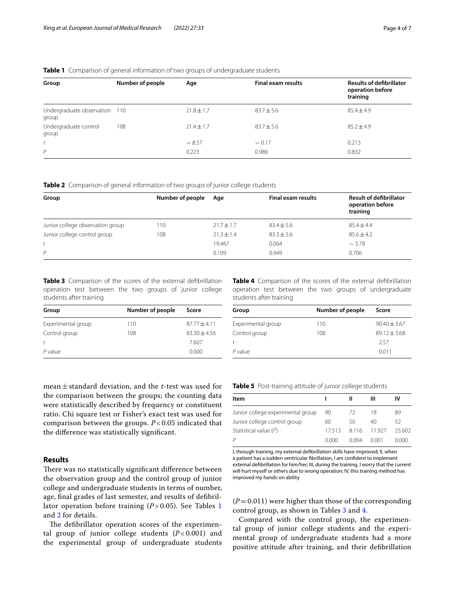## <span id="page-3-0"></span>**Table 1** Comparison of general information of two groups of undergraduate students

| Group                                  | Number of people | Age            | <b>Final exam results</b> | <b>Results of defibrillator</b><br>operation before<br>training |
|----------------------------------------|------------------|----------------|---------------------------|-----------------------------------------------------------------|
| Undergraduate observation 110<br>group |                  | $21.8 \pm 1.7$ | $83.7 \pm 5.6$            | $85.4 \pm 4.9$                                                  |
| Undergraduate control<br>group         | 108              | $71.4 \pm 1.7$ | $83.7 \pm 5.6$            | $85.2 + 4.9$                                                    |
| t                                      |                  | $-8.57$        | $-0.17$                   | 0.213                                                           |
| $\mathsf{P}$                           |                  | 0.223          | 0.986                     | 0.832                                                           |

<span id="page-3-1"></span>**Table 2** Comparison of general information of two groups of junior college students

| Group                            | Number of people | Age            | <b>Final exam results</b> | <b>Result of defibrillator</b><br>operation before<br>training |
|----------------------------------|------------------|----------------|---------------------------|----------------------------------------------------------------|
| Junior college observation group | 110              | $21.7 \pm 1.7$ | $83.4 \pm 5.6$            | $85.4 \pm 4.4$                                                 |
| Junior college control group     | 108              | $21.3 \pm 1.4$ | $83.3 \pm 5.6$            | $85.6 \pm 4.2$                                                 |
|                                  |                  | 19.467         | 0.064                     | $-3.78$                                                        |
| P                                |                  | 0.109          | 0.949                     | 0.706                                                          |

<span id="page-3-2"></span>**Table 3** Comparison of the scores of the external defbrillation operation test between the two groups of junior college students after training

| Group              | Number of people | Score          |  |  |
|--------------------|------------------|----------------|--|--|
| Experimental group | 110              | $87.77 + 4.11$ |  |  |
| Control group      | 108              | $83.30 + 4.56$ |  |  |
| Ť                  |                  | 7.607          |  |  |
| P value            |                  | 0.000          |  |  |

mean±standard deviation, and the *t*-test was used for the comparison between the groups; the counting data were statistically described by frequency or constituent ratio. Chi square test or Fisher's exact test was used for comparison between the groups. *P* < 0.05 indicated that the diference was statistically signifcant.

#### **Results**

There was no statistically significant difference between the observation group and the control group of junior college and undergraduate students in terms of number, age, fnal grades of last semester, and results of defbrillator operation before training  $(P > 0.05)$ . See Tables [1](#page-3-0) and [2](#page-3-1) for details.

The defibrillator operation scores of the experimental group of junior college students  $(P<0.001)$  and the experimental group of undergraduate students <span id="page-3-3"></span>**Table 4** Comparison of the scores of the external defbrillation operation test between the two groups of undergraduate students after training

| Group              | Number of people | Score            |  |
|--------------------|------------------|------------------|--|
| Experimental group | 110              | $90.40 \pm 3.67$ |  |
| Control group      | 108              | $89.12 + 3.68$   |  |
| t                  |                  | 257              |  |
| $P$ value          |                  | 0.011            |  |

<span id="page-3-4"></span>

|  | <b>Table 5</b> Post-training attitude of junior college students |  |  |  |  |
|--|------------------------------------------------------------------|--|--|--|--|
|--|------------------------------------------------------------------|--|--|--|--|

| Item                              |       |       | Ш      | IV           |
|-----------------------------------|-------|-------|--------|--------------|
| Junior college experimental group | 90    | -72   | 18     | 89           |
| Junior college control group      | 60    | 50    | 40     | 52           |
| Statistical value $(l^2)$         | 17513 | 8116  | 11927  | 25.602       |
| P                                 | 0.000 | 0.004 | O OO 1 | <u>N OOO</u> |

I, through training, my external defbrillation skills have improved; II, when a patient has a sudden ventricular fbrillation, I am confdent to implement external defbrillation for him/her; III, during the training, I worry that the current will hurt myself or others due to wrong operation; IV, this training method has improved my hands-on ability

 $(P=0.011)$  were higher than those of the corresponding control group, as shown in Tables [3](#page-3-2) and [4](#page-3-3).

Compared with the control group, the experimental group of junior college students and the experimental group of undergraduate students had a more positive attitude after training, and their defbrillation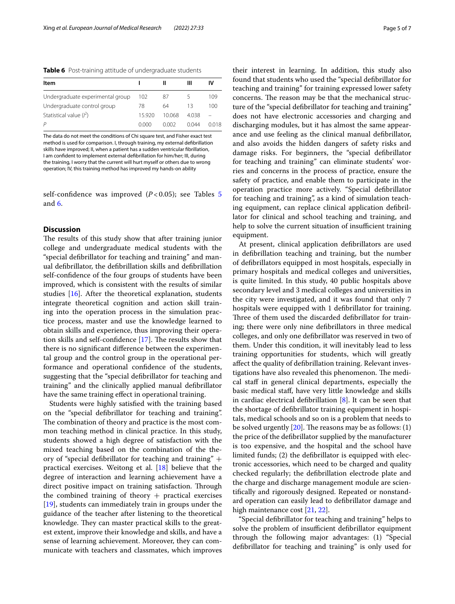<span id="page-4-0"></span>**Table 6** Post-training attitude of undergraduate students

| Item                             |       |       | ш     | ιv   |
|----------------------------------|-------|-------|-------|------|
| Undergraduate experimental group | 102   | 87    |       | 109  |
| Undergraduate control group      | 78    | 64    | 13    | 100  |
| Statistical value $(l^2)$        | 15920 | 10068 | 4038  |      |
|                                  | 0.000 | 0.002 | 0.044 | 0018 |

The data do not meet the conditions of Chi square test, and Fisher exact test method is used for comparison. I, through training, my external defbrillation skills have improved; II, when a patient has a sudden ventricular fbrillation, I am confdent to implement external defbrillation for him/her; III, during the training, I worry that the current will hurt myself or others due to wrong operation; IV, this training method has improved my hands-on ability

self-confidence was improved  $(P<0.05)$  $(P<0.05)$  $(P<0.05)$ ; see Tables 5 and [6.](#page-4-0)

## **Discussion**

The results of this study show that after training junior college and undergraduate medical students with the "special defbrillator for teaching and training" and manual defbrillator, the defbrillation skills and defbrillation self-confdence of the four groups of students have been improved, which is consistent with the results of similar studies [\[16](#page-6-1)]. After the theoretical explanation, students integrate theoretical cognition and action skill training into the operation process in the simulation practice process, master and use the knowledge learned to obtain skills and experience, thus improving their operation skills and self-confidence  $[17]$  $[17]$ . The results show that there is no signifcant diference between the experimental group and the control group in the operational performance and operational confdence of the students, suggesting that the "special defbrillator for teaching and training" and the clinically applied manual defbrillator have the same training efect in operational training.

Students were highly satisfed with the training based on the "special defbrillator for teaching and training". The combination of theory and practice is the most common teaching method in clinical practice. In this study, students showed a high degree of satisfaction with the mixed teaching based on the combination of the theory of "special defbrillator for teaching and training" + practical exercises. Weitong et al. [\[18\]](#page-6-3) believe that the degree of interaction and learning achievement have a direct positive impact on training satisfaction. Through the combined training of theory  $+$  practical exercises [[19\]](#page-6-4), students can immediately train in groups under the guidance of the teacher after listening to the theoretical knowledge. They can master practical skills to the greatest extent, improve their knowledge and skills, and have a sense of learning achievement. Moreover, they can communicate with teachers and classmates, which improves

their interest in learning. In addition, this study also found that students who used the "special defbrillator for teaching and training" for training expressed lower safety concerns. The reason may be that the mechanical structure of the "special defbrillator for teaching and training" does not have electronic accessories and charging and discharging modules, but it has almost the same appearance and use feeling as the clinical manual defbrillator, and also avoids the hidden dangers of safety risks and damage risks. For beginners, the "special defbrillator for teaching and training" can eliminate students' worries and concerns in the process of practice, ensure the safety of practice, and enable them to participate in the operation practice more actively. "Special defbrillator for teaching and training", as a kind of simulation teaching equipment, can replace clinical application defbrillator for clinical and school teaching and training, and help to solve the current situation of insufficient training equipment.

At present, clinical application defbrillators are used in defbrillation teaching and training, but the number of defbrillators equipped in most hospitals, especially in primary hospitals and medical colleges and universities, is quite limited. In this study, 40 public hospitals above secondary level and 3 medical colleges and universities in the city were investigated, and it was found that only 7 hospitals were equipped with 1 defibrillator for training. Three of them used the discarded defibrillator for training; there were only nine defbrillators in three medical colleges, and only one defbrillator was reserved in two of them. Under this condition, it will inevitably lead to less training opportunities for students, which will greatly afect the quality of defbrillation training. Relevant investigations have also revealed this phenomenon. The medical staf in general clinical departments, especially the basic medical staf, have very little knowledge and skills in cardiac electrical defibrillation  $[8]$  $[8]$ . It can be seen that the shortage of defbrillator training equipment in hospitals, medical schools and so on is a problem that needs to be solved urgently  $[20]$  $[20]$ . The reasons may be as follows:  $(1)$ the price of the defbrillator supplied by the manufacturer is too expensive, and the hospital and the school have limited funds; (2) the defbrillator is equipped with electronic accessories, which need to be charged and quality checked regularly; the defbrillation electrode plate and the charge and discharge management module are scientifcally and rigorously designed. Repeated or nonstandard operation can easily lead to defbrillator damage and high maintenance cost [\[21,](#page-6-6) [22](#page-6-7)].

"Special defbrillator for teaching and training" helps to solve the problem of insufficient defibrillator equipment through the following major advantages: (1) "Special defbrillator for teaching and training" is only used for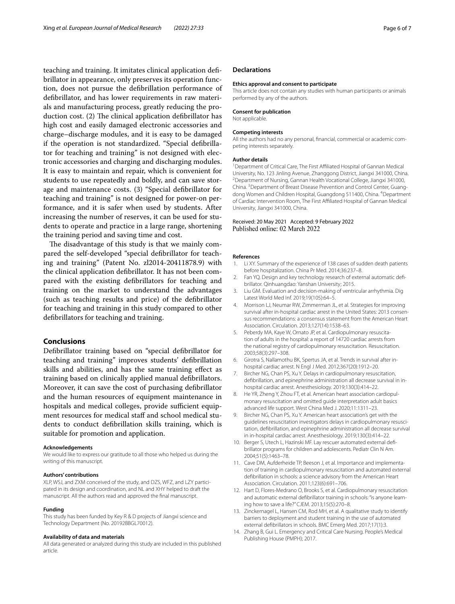teaching and training. It imitates clinical application defbrillator in appearance, only preserves its operation function, does not pursue the defbrillation performance of defbrillator, and has lower requirements in raw materials and manufacturing process, greatly reducing the production cost.  $(2)$  The clinical application defibrillator has high cost and easily damaged electronic accessories and charge–discharge modules, and it is easy to be damaged if the operation is not standardized. "Special defbrillator for teaching and training" is not designed with electronic accessories and charging and discharging modules. It is easy to maintain and repair, which is convenient for students to use repeatedly and boldly, and can save storage and maintenance costs. (3) "Special defbrillator for teaching and training" is not designed for power-on performance, and it is safer when used by students. After increasing the number of reserves, it can be used for students to operate and practice in a large range, shortening the training period and saving time and cost.

The disadvantage of this study is that we mainly compared the self-developed "special defbrillator for teaching and training" (Patent No. zl2014-20411878.9) with the clinical application defbrillator. It has not been compared with the existing defbrillators for teaching and training on the market to understand the advantages (such as teaching results and price) of the defbrillator for teaching and training in this study compared to other defbrillators for teaching and training.

## **Conclusions**

Defbrillator training based on "special defbrillator for teaching and training" improves students' defbrillation skills and abilities, and has the same training efect as training based on clinically applied manual defbrillators. Moreover, it can save the cost of purchasing defbrillator and the human resources of equipment maintenance in hospitals and medical colleges, provide sufficient equipment resources for medical staff and school medical students to conduct defbrillation skills training, which is suitable for promotion and application.

#### **Acknowledgements**

We would like to express our gratitude to all those who helped us during the writing of this manuscript.

#### **Authors' contributions**

XLP, WSJ, and ZXM conceived of the study, and DZS, WFZ, and LZY participated in its design and coordination, and NL and XHY helped to draft the manuscript. All the authors read and approved the fnal manuscript.

#### **Funding**

This study has been funded by Key R & D projects of Jiangxi science and Technology Department (No. 20192BBGL70012).

#### **Availability of data and materials**

All data generated or analyzed during this study are included in this published article.

#### **Declarations**

#### **Ethics approval and consent to participate**

This article does not contain any studies with human participants or animals performed by any of the authors.

#### **Consent for publication**

Not applicable.

#### **Competing interests**

All the authors had no any personal, fnancial, commercial or academic competing interests separately.

#### **Author details**

<sup>1</sup> Department of Critical Care, The First Affiliated Hospital of Gannan Medical University, No. 123 Jinling Avenue, Zhanggong District, Jiangxi 341000, China. 2 <sup>2</sup> Department of Nursing, Gannan Health Vocational College, Jiangxi 341000, China. <sup>3</sup> Department of Breast Disease Prevention and Control Center, Guangdong Women and Children Hospital, Guangdong 511400, China. <sup>4</sup>Department of Cardiac Intervention Room, The First Afliated Hospital of Gannan Medical University, Jiangxi 341000, China.

#### Received: 20 May 2021 Accepted: 9 February 2022 Published online: 02 March 2022

#### **References**

- <span id="page-5-0"></span>1. Li XY. Summary of the experience of 138 cases of sudden death patients before hospitalization. China Pr Med. 2014;36:237–8.
- <span id="page-5-1"></span>2. Fan YQ. Design and key technology research of external automatic defbrillator. Qinhuangdao: Yanshan University; 2015.
- <span id="page-5-2"></span>3. Liu GM. Evaluation and decision-making of ventricular arrhythmia. Dig Latest World Med Inf. 2019;19(105):64–5.
- <span id="page-5-3"></span>4. Morrison LJ, Neumar RW, Zimmerman JL, et al. Strategies for improving survival after in-hospital cardiac arrest in the United States: 2013 consensus recommendations: a consensus statement from the American Heart Association. Circulation. 2013;127(14):1538–63.
- 5. Peberdy MA, Kaye W, Ornato JP, et al. Cardiopulmonary resuscitation of adults in the hospital: a report of 14720 cardiac arrests from the national registry of cardiopulmonary resuscitation. Resuscitation. 2003;58(3):297–308.
- <span id="page-5-4"></span>6. Girotra S, Nallamothu BK, Spertus JA, et al. Trends in survival after inhospital cardiac arrest. N Engl J Med. 2012;367(20):1912–20.
- <span id="page-5-5"></span>7. Bircher NG, Chan PS, Xu Y. Delays in cardiopulmonary resuscitation, defbrillation, and epinephrine administration all decrease survival in inhospital cardiac arrest. Anesthesiology. 2019;130(3):414–22.
- <span id="page-5-6"></span>8. He YR, Zheng Y, Zhou FT, et al. American heart association cardiopulmonary resuscitation and omitted guide interpretation adult basics advanced life support. West China Med J. 2020;11:1311–23.
- <span id="page-5-7"></span>9. Bircher NG, Chan PS, Xu Y. American heart association's get with the guidelines resuscitation investigators delays in cardiopulmonary resuscitation, defbrillation, and epinephrine administration all decrease survival in in-hospital cardiac arrest. Anesthesiology. 2019;130(3):414–22.
- <span id="page-5-8"></span>10. Berger S, Utech L, Hazinski MF. Lay rescuer automated external defbrillator programs for children and adolescents. Pediatr Clin N Am. 2004;51(5):1463–78.
- <span id="page-5-9"></span>11. Cave DM, Aufderheide TP, Beeson J, et al. Importance and implementation of training in cardiopulmonary resuscitation and automated external defbrillation in schools: a science advisory from the American Heart Association. Circulation. 2011;123(6):691–706.
- <span id="page-5-10"></span>12. Hart D, Flores-Medrano O, Brooks S, et al. Cardiopulmonary resuscitation and automatic external defbrillator training in schools: "is anyone learning how to save a life?" CJEM. 2013;15(5):270–8.
- <span id="page-5-11"></span>13. Zinckernagel L, Hansen CM, Rod MH, et al. A qualitative study to identify barriers to deployment and student training in the use of automated external defbrillators in schools. BMC Emerg Med. 2017;17(1):3.
- <span id="page-5-12"></span>14. Zhang B, Gui L. Emergency and Critical Care Nursing. People's Medical Publishing House (PMPH); 2017.